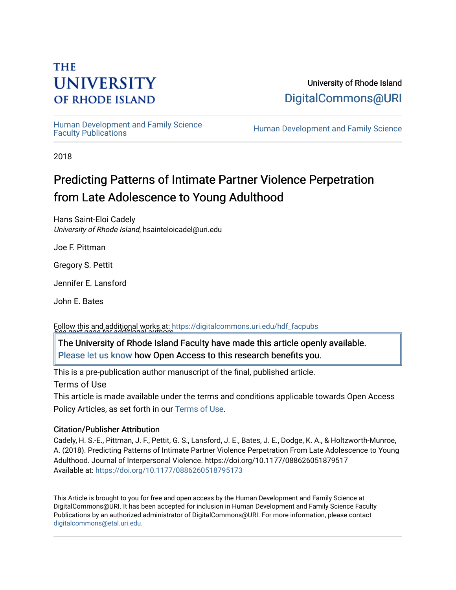# **THE UNIVERSITY OF RHODE ISLAND**

University of Rhode Island [DigitalCommons@URI](https://digitalcommons.uri.edu/) 

Human Development and Family Science<br>Faculty Publications

Human Development and Family Science

2018

# Predicting Patterns of Intimate Partner Violence Perpetration from Late Adolescence to Young Adulthood

Hans Saint-Eloi Cadely University of Rhode Island, hsainteloicadel@uri.edu

Joe F. Pittman

Gregory S. Pettit

Jennifer E. Lansford

John E. Bates

See next page for additional authors Follow this and additional works at: [https://digitalcommons.uri.edu/hdf\\_facpubs](https://digitalcommons.uri.edu/hdf_facpubs?utm_source=digitalcommons.uri.edu%2Fhdf_facpubs%2F37&utm_medium=PDF&utm_campaign=PDFCoverPages) 

The University of Rhode Island Faculty have made this article openly available. [Please let us know](http://web.uri.edu/library-digital-initiatives/open-access-online-form/) how Open Access to this research benefits you.

This is a pre-publication author manuscript of the final, published article.

Terms of Use

This article is made available under the terms and conditions applicable towards Open Access Policy Articles, as set forth in our [Terms of Use](https://digitalcommons.uri.edu/hdf_facpubs/oa_policy_terms.html).

# Citation/Publisher Attribution

Cadely, H. S.-E., Pittman, J. F., Pettit, G. S., Lansford, J. E., Bates, J. E., Dodge, K. A., & Holtzworth-Munroe, A. (2018). Predicting Patterns of Intimate Partner Violence Perpetration From Late Adolescence to Young Adulthood. Journal of Interpersonal Violence. https://doi.org/10.1177/088626051879517 Available at:<https://doi.org/10.1177/0886260518795173>

This Article is brought to you for free and open access by the Human Development and Family Science at DigitalCommons@URI. It has been accepted for inclusion in Human Development and Family Science Faculty Publications by an authorized administrator of DigitalCommons@URI. For more information, please contact [digitalcommons@etal.uri.edu](mailto:digitalcommons@etal.uri.edu).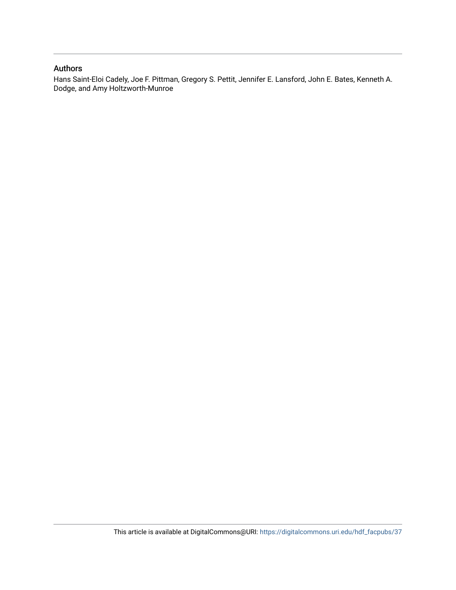# Authors

Hans Saint-Eloi Cadely, Joe F. Pittman, Gregory S. Pettit, Jennifer E. Lansford, John E. Bates, Kenneth A. Dodge, and Amy Holtzworth-Munroe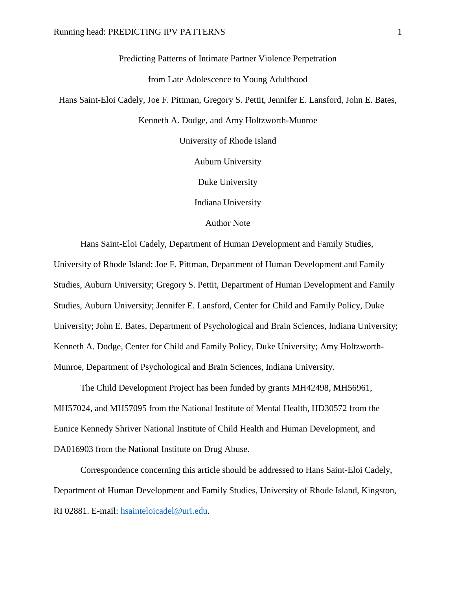Predicting Patterns of Intimate Partner Violence Perpetration

from Late Adolescence to Young Adulthood

Hans Saint-Eloi Cadely, Joe F. Pittman, Gregory S. Pettit, Jennifer E. Lansford, John E. Bates,

Kenneth A. Dodge, and Amy Holtzworth-Munroe

University of Rhode Island

Auburn University

Duke University

Indiana University

Author Note

Hans Saint-Eloi Cadely, Department of Human Development and Family Studies, University of Rhode Island; Joe F. Pittman, Department of Human Development and Family Studies, Auburn University; Gregory S. Pettit, Department of Human Development and Family Studies, Auburn University; Jennifer E. Lansford, Center for Child and Family Policy, Duke University; John E. Bates, Department of Psychological and Brain Sciences, Indiana University; Kenneth A. Dodge, Center for Child and Family Policy, Duke University; Amy Holtzworth-Munroe, Department of Psychological and Brain Sciences, Indiana University.

The Child Development Project has been funded by grants MH42498, MH56961, MH57024, and MH57095 from the National Institute of Mental Health, HD30572 from the Eunice Kennedy Shriver National Institute of Child Health and Human Development, and DA016903 from the National Institute on Drug Abuse.

Correspondence concerning this article should be addressed to Hans Saint-Eloi Cadely, Department of Human Development and Family Studies, University of Rhode Island, Kingston, RI 02881. E-mail: [hsainteloicadel@uri.edu.](mailto:hsainteloicadel@uri.edu)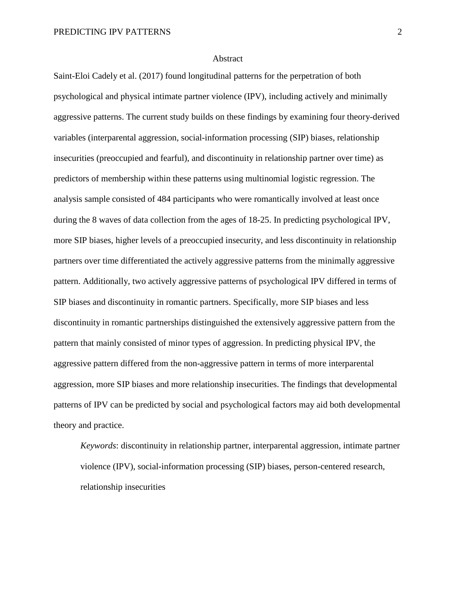#### Abstract

Saint-Eloi Cadely et al. (2017) found longitudinal patterns for the perpetration of both psychological and physical intimate partner violence (IPV), including actively and minimally aggressive patterns. The current study builds on these findings by examining four theory-derived variables (interparental aggression, social-information processing (SIP) biases, relationship insecurities (preoccupied and fearful), and discontinuity in relationship partner over time) as predictors of membership within these patterns using multinomial logistic regression. The analysis sample consisted of 484 participants who were romantically involved at least once during the 8 waves of data collection from the ages of 18-25. In predicting psychological IPV, more SIP biases, higher levels of a preoccupied insecurity, and less discontinuity in relationship partners over time differentiated the actively aggressive patterns from the minimally aggressive pattern. Additionally, two actively aggressive patterns of psychological IPV differed in terms of SIP biases and discontinuity in romantic partners. Specifically, more SIP biases and less discontinuity in romantic partnerships distinguished the extensively aggressive pattern from the pattern that mainly consisted of minor types of aggression. In predicting physical IPV, the aggressive pattern differed from the non-aggressive pattern in terms of more interparental aggression, more SIP biases and more relationship insecurities. The findings that developmental patterns of IPV can be predicted by social and psychological factors may aid both developmental theory and practice.

*Keywords*: discontinuity in relationship partner, interparental aggression, intimate partner violence (IPV), social-information processing (SIP) biases, person-centered research, relationship insecurities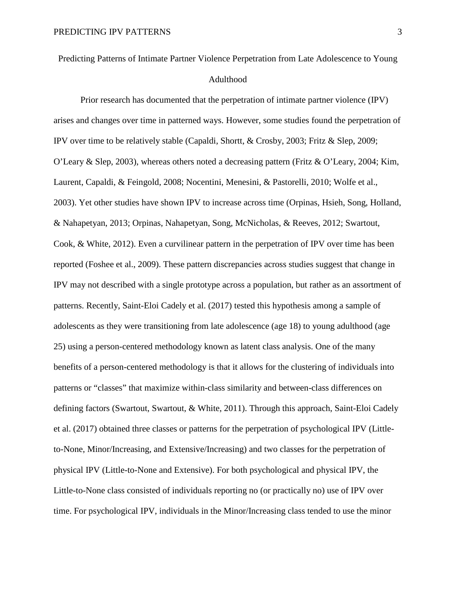Predicting Patterns of Intimate Partner Violence Perpetration from Late Adolescence to Young Adulthood

Prior research has documented that the perpetration of intimate partner violence (IPV) arises and changes over time in patterned ways. However, some studies found the perpetration of IPV over time to be relatively stable (Capaldi, Shortt, & Crosby, 2003; Fritz & Slep, 2009; O'Leary & Slep, 2003), whereas others noted a decreasing pattern (Fritz & O'Leary, 2004; Kim, Laurent, Capaldi, & Feingold, 2008; Nocentini, Menesini, & Pastorelli, 2010; Wolfe et al., 2003). Yet other studies have shown IPV to increase across time (Orpinas, Hsieh, Song, Holland, & Nahapetyan, 2013; Orpinas, Nahapetyan, Song, McNicholas, & Reeves, 2012; Swartout, Cook, & White, 2012). Even a curvilinear pattern in the perpetration of IPV over time has been reported (Foshee et al., 2009). These pattern discrepancies across studies suggest that change in IPV may not described with a single prototype across a population, but rather as an assortment of patterns. Recently, Saint-Eloi Cadely et al. (2017) tested this hypothesis among a sample of adolescents as they were transitioning from late adolescence (age 18) to young adulthood (age 25) using a person-centered methodology known as latent class analysis. One of the many benefits of a person-centered methodology is that it allows for the clustering of individuals into patterns or "classes" that maximize within-class similarity and between-class differences on defining factors (Swartout, Swartout, & White, 2011). Through this approach, Saint-Eloi Cadely et al. (2017) obtained three classes or patterns for the perpetration of psychological IPV (Littleto-None, Minor/Increasing, and Extensive/Increasing) and two classes for the perpetration of physical IPV (Little-to-None and Extensive). For both psychological and physical IPV, the Little-to-None class consisted of individuals reporting no (or practically no) use of IPV over time. For psychological IPV, individuals in the Minor/Increasing class tended to use the minor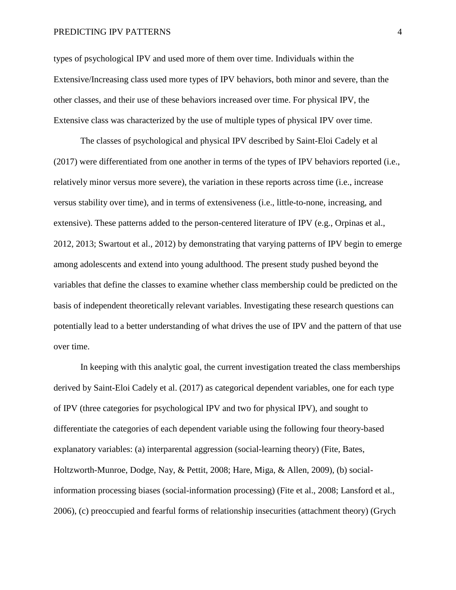types of psychological IPV and used more of them over time. Individuals within the Extensive/Increasing class used more types of IPV behaviors, both minor and severe, than the other classes, and their use of these behaviors increased over time. For physical IPV, the Extensive class was characterized by the use of multiple types of physical IPV over time.

The classes of psychological and physical IPV described by Saint-Eloi Cadely et al (2017) were differentiated from one another in terms of the types of IPV behaviors reported (i.e., relatively minor versus more severe), the variation in these reports across time (i.e., increase versus stability over time), and in terms of extensiveness (i.e., little-to-none, increasing, and extensive). These patterns added to the person-centered literature of IPV (e.g., Orpinas et al., 2012, 2013; Swartout et al., 2012) by demonstrating that varying patterns of IPV begin to emerge among adolescents and extend into young adulthood. The present study pushed beyond the variables that define the classes to examine whether class membership could be predicted on the basis of independent theoretically relevant variables. Investigating these research questions can potentially lead to a better understanding of what drives the use of IPV and the pattern of that use over time.

In keeping with this analytic goal, the current investigation treated the class memberships derived by Saint-Eloi Cadely et al. (2017) as categorical dependent variables, one for each type of IPV (three categories for psychological IPV and two for physical IPV), and sought to differentiate the categories of each dependent variable using the following four theory-based explanatory variables: (a) interparental aggression (social-learning theory) (Fite, Bates, Holtzworth-Munroe, Dodge, Nay, & Pettit, 2008; Hare, Miga, & Allen, 2009), (b) socialinformation processing biases (social-information processing) (Fite et al., 2008; Lansford et al., 2006), (c) preoccupied and fearful forms of relationship insecurities (attachment theory) (Grych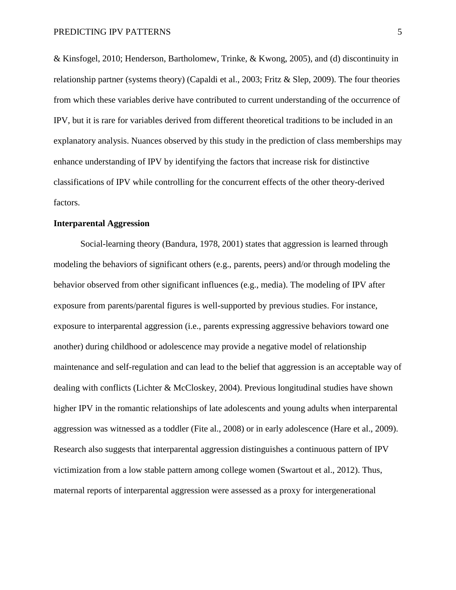& Kinsfogel, 2010; Henderson, Bartholomew, Trinke, & Kwong, 2005), and (d) discontinuity in relationship partner (systems theory) (Capaldi et al., 2003; Fritz & Slep, 2009). The four theories from which these variables derive have contributed to current understanding of the occurrence of IPV, but it is rare for variables derived from different theoretical traditions to be included in an explanatory analysis. Nuances observed by this study in the prediction of class memberships may enhance understanding of IPV by identifying the factors that increase risk for distinctive classifications of IPV while controlling for the concurrent effects of the other theory-derived factors.

# **Interparental Aggression**

Social-learning theory (Bandura, 1978, 2001) states that aggression is learned through modeling the behaviors of significant others (e.g., parents, peers) and/or through modeling the behavior observed from other significant influences (e.g., media). The modeling of IPV after exposure from parents/parental figures is well-supported by previous studies. For instance, exposure to interparental aggression (i.e., parents expressing aggressive behaviors toward one another) during childhood or adolescence may provide a negative model of relationship maintenance and self-regulation and can lead to the belief that aggression is an acceptable way of dealing with conflicts (Lichter & McCloskey, 2004). Previous longitudinal studies have shown higher IPV in the romantic relationships of late adolescents and young adults when interparental aggression was witnessed as a toddler (Fite al., 2008) or in early adolescence (Hare et al., 2009). Research also suggests that interparental aggression distinguishes a continuous pattern of IPV victimization from a low stable pattern among college women (Swartout et al., 2012). Thus, maternal reports of interparental aggression were assessed as a proxy for intergenerational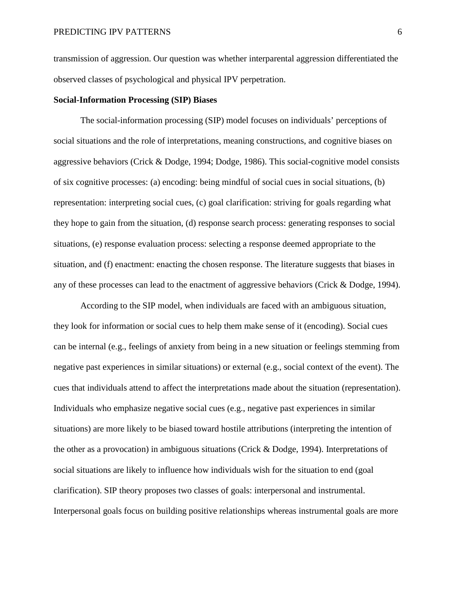transmission of aggression. Our question was whether interparental aggression differentiated the observed classes of psychological and physical IPV perpetration.

# **Social-Information Processing (SIP) Biases**

The social-information processing (SIP) model focuses on individuals' perceptions of social situations and the role of interpretations, meaning constructions, and cognitive biases on aggressive behaviors (Crick & Dodge, 1994; Dodge, 1986). This social-cognitive model consists of six cognitive processes: (a) encoding: being mindful of social cues in social situations, (b) representation: interpreting social cues, (c) goal clarification: striving for goals regarding what they hope to gain from the situation, (d) response search process: generating responses to social situations, (e) response evaluation process: selecting a response deemed appropriate to the situation, and (f) enactment: enacting the chosen response. The literature suggests that biases in any of these processes can lead to the enactment of aggressive behaviors (Crick & Dodge, 1994).

According to the SIP model, when individuals are faced with an ambiguous situation, they look for information or social cues to help them make sense of it (encoding). Social cues can be internal (e.g., feelings of anxiety from being in a new situation or feelings stemming from negative past experiences in similar situations) or external (e.g., social context of the event). The cues that individuals attend to affect the interpretations made about the situation (representation). Individuals who emphasize negative social cues (e.g., negative past experiences in similar situations) are more likely to be biased toward hostile attributions (interpreting the intention of the other as a provocation) in ambiguous situations (Crick & Dodge, 1994). Interpretations of social situations are likely to influence how individuals wish for the situation to end (goal clarification). SIP theory proposes two classes of goals: interpersonal and instrumental. Interpersonal goals focus on building positive relationships whereas instrumental goals are more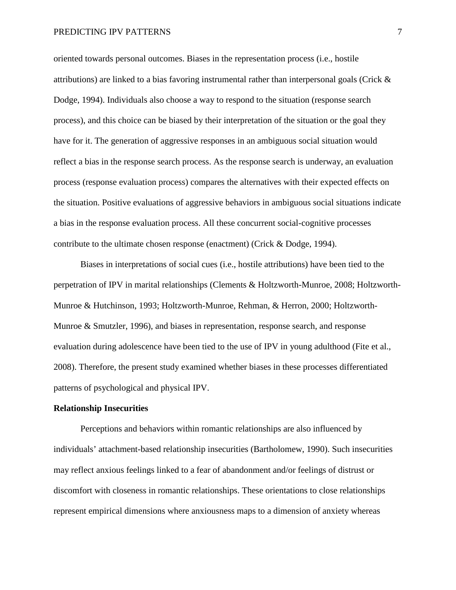oriented towards personal outcomes. Biases in the representation process (i.e., hostile attributions) are linked to a bias favoring instrumental rather than interpersonal goals (Crick & Dodge, 1994). Individuals also choose a way to respond to the situation (response search process), and this choice can be biased by their interpretation of the situation or the goal they have for it. The generation of aggressive responses in an ambiguous social situation would reflect a bias in the response search process. As the response search is underway, an evaluation process (response evaluation process) compares the alternatives with their expected effects on the situation. Positive evaluations of aggressive behaviors in ambiguous social situations indicate a bias in the response evaluation process. All these concurrent social-cognitive processes contribute to the ultimate chosen response (enactment) (Crick & Dodge, 1994).

Biases in interpretations of social cues (i.e., hostile attributions) have been tied to the perpetration of IPV in marital relationships (Clements & Holtzworth-Munroe, 2008; Holtzworth-Munroe & Hutchinson, 1993; Holtzworth-Munroe, Rehman, & Herron, 2000; Holtzworth-Munroe & Smutzler, 1996), and biases in representation, response search, and response evaluation during adolescence have been tied to the use of IPV in young adulthood (Fite et al., 2008). Therefore, the present study examined whether biases in these processes differentiated patterns of psychological and physical IPV.

## **Relationship Insecurities**

Perceptions and behaviors within romantic relationships are also influenced by individuals' attachment-based relationship insecurities (Bartholomew, 1990). Such insecurities may reflect anxious feelings linked to a fear of abandonment and/or feelings of distrust or discomfort with closeness in romantic relationships. These orientations to close relationships represent empirical dimensions where anxiousness maps to a dimension of anxiety whereas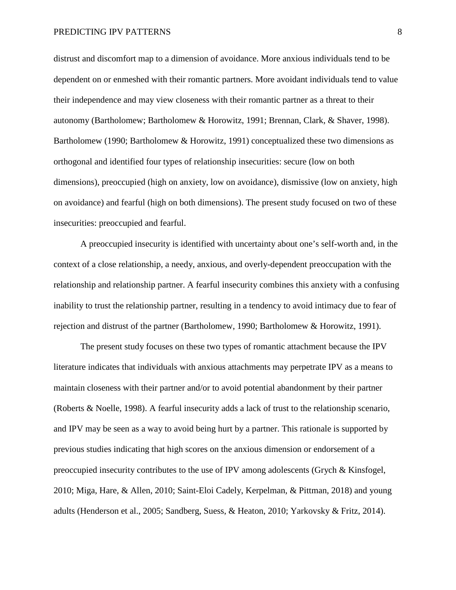distrust and discomfort map to a dimension of avoidance. More anxious individuals tend to be dependent on or enmeshed with their romantic partners. More avoidant individuals tend to value their independence and may view closeness with their romantic partner as a threat to their autonomy (Bartholomew; Bartholomew & Horowitz, 1991; Brennan, Clark, & Shaver, 1998). Bartholomew (1990; Bartholomew & Horowitz, 1991) conceptualized these two dimensions as orthogonal and identified four types of relationship insecurities: secure (low on both dimensions), preoccupied (high on anxiety, low on avoidance), dismissive (low on anxiety, high on avoidance) and fearful (high on both dimensions). The present study focused on two of these insecurities: preoccupied and fearful.

A preoccupied insecurity is identified with uncertainty about one's self-worth and, in the context of a close relationship, a needy, anxious, and overly-dependent preoccupation with the relationship and relationship partner. A fearful insecurity combines this anxiety with a confusing inability to trust the relationship partner, resulting in a tendency to avoid intimacy due to fear of rejection and distrust of the partner (Bartholomew, 1990; Bartholomew & Horowitz, 1991).

The present study focuses on these two types of romantic attachment because the IPV literature indicates that individuals with anxious attachments may perpetrate IPV as a means to maintain closeness with their partner and/or to avoid potential abandonment by their partner (Roberts & Noelle, 1998). A fearful insecurity adds a lack of trust to the relationship scenario, and IPV may be seen as a way to avoid being hurt by a partner. This rationale is supported by previous studies indicating that high scores on the anxious dimension or endorsement of a preoccupied insecurity contributes to the use of IPV among adolescents (Grych & Kinsfogel, 2010; Miga, Hare, & Allen, 2010; Saint-Eloi Cadely, Kerpelman, & Pittman, 2018) and young adults (Henderson et al., 2005; Sandberg, Suess, & Heaton, 2010; Yarkovsky & Fritz, 2014).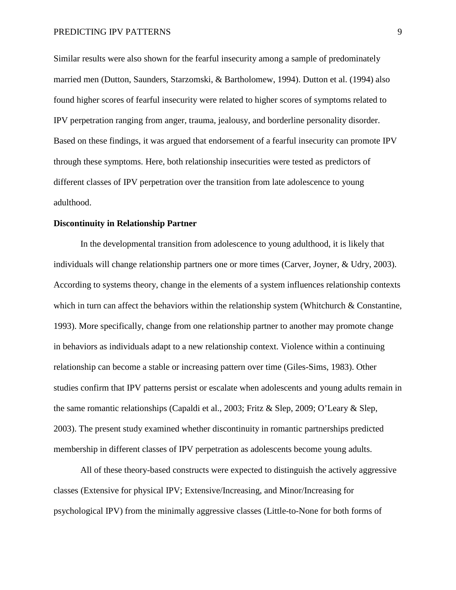Similar results were also shown for the fearful insecurity among a sample of predominately married men (Dutton, Saunders, Starzomski, & Bartholomew, 1994). Dutton et al. (1994) also found higher scores of fearful insecurity were related to higher scores of symptoms related to IPV perpetration ranging from anger, trauma, jealousy, and borderline personality disorder. Based on these findings, it was argued that endorsement of a fearful insecurity can promote IPV through these symptoms. Here, both relationship insecurities were tested as predictors of different classes of IPV perpetration over the transition from late adolescence to young adulthood.

## **Discontinuity in Relationship Partner**

In the developmental transition from adolescence to young adulthood, it is likely that individuals will change relationship partners one or more times (Carver, Joyner, & Udry, 2003). According to systems theory, change in the elements of a system influences relationship contexts which in turn can affect the behaviors within the relationship system (Whitchurch & Constantine, 1993). More specifically, change from one relationship partner to another may promote change in behaviors as individuals adapt to a new relationship context. Violence within a continuing relationship can become a stable or increasing pattern over time (Giles-Sims, 1983). Other studies confirm that IPV patterns persist or escalate when adolescents and young adults remain in the same romantic relationships (Capaldi et al., 2003; Fritz & Slep, 2009; O'Leary & Slep, 2003). The present study examined whether discontinuity in romantic partnerships predicted membership in different classes of IPV perpetration as adolescents become young adults.

All of these theory-based constructs were expected to distinguish the actively aggressive classes (Extensive for physical IPV; Extensive/Increasing, and Minor/Increasing for psychological IPV) from the minimally aggressive classes (Little-to-None for both forms of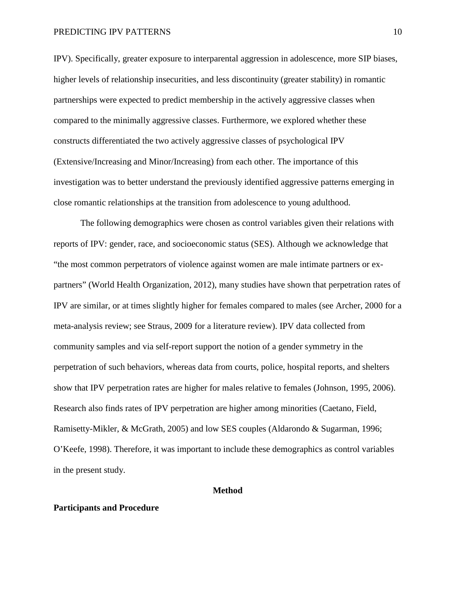IPV). Specifically, greater exposure to interparental aggression in adolescence, more SIP biases, higher levels of relationship insecurities, and less discontinuity (greater stability) in romantic partnerships were expected to predict membership in the actively aggressive classes when compared to the minimally aggressive classes. Furthermore, we explored whether these constructs differentiated the two actively aggressive classes of psychological IPV (Extensive/Increasing and Minor/Increasing) from each other. The importance of this investigation was to better understand the previously identified aggressive patterns emerging in close romantic relationships at the transition from adolescence to young adulthood.

The following demographics were chosen as control variables given their relations with reports of IPV: gender, race, and socioeconomic status (SES). Although we acknowledge that "the most common perpetrators of violence against women are male intimate partners or expartners" (World Health Organization, 2012), many studies have shown that perpetration rates of IPV are similar, or at times slightly higher for females compared to males (see Archer, 2000 for a meta-analysis review; see Straus, 2009 for a literature review). IPV data collected from community samples and via self-report support the notion of a gender symmetry in the perpetration of such behaviors, whereas data from courts, police, hospital reports, and shelters show that IPV perpetration rates are higher for males relative to females (Johnson, 1995, 2006). Research also finds rates of IPV perpetration are higher among minorities (Caetano, Field, Ramisetty-Mikler, & McGrath, 2005) and low SES couples (Aldarondo & Sugarman, 1996; O'Keefe, 1998). Therefore, it was important to include these demographics as control variables in the present study.

# **Method**

## **Participants and Procedure**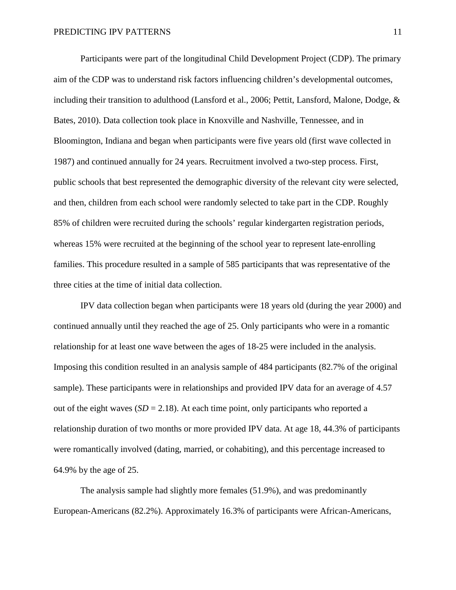Participants were part of the longitudinal Child Development Project (CDP). The primary aim of the CDP was to understand risk factors influencing children's developmental outcomes, including their transition to adulthood (Lansford et al., 2006; Pettit, Lansford, Malone, Dodge, & Bates, 2010). Data collection took place in Knoxville and Nashville, Tennessee, and in Bloomington, Indiana and began when participants were five years old (first wave collected in 1987) and continued annually for 24 years. Recruitment involved a two-step process. First, public schools that best represented the demographic diversity of the relevant city were selected, and then, children from each school were randomly selected to take part in the CDP. Roughly 85% of children were recruited during the schools' regular kindergarten registration periods, whereas 15% were recruited at the beginning of the school year to represent late-enrolling families. This procedure resulted in a sample of 585 participants that was representative of the three cities at the time of initial data collection.

IPV data collection began when participants were 18 years old (during the year 2000) and continued annually until they reached the age of 25. Only participants who were in a romantic relationship for at least one wave between the ages of 18-25 were included in the analysis. Imposing this condition resulted in an analysis sample of 484 participants (82.7% of the original sample). These participants were in relationships and provided IPV data for an average of 4.57 out of the eight waves  $(SD = 2.18)$ . At each time point, only participants who reported a relationship duration of two months or more provided IPV data. At age 18, 44.3% of participants were romantically involved (dating, married, or cohabiting), and this percentage increased to 64.9% by the age of 25.

The analysis sample had slightly more females (51.9%), and was predominantly European-Americans (82.2%). Approximately 16.3% of participants were African-Americans,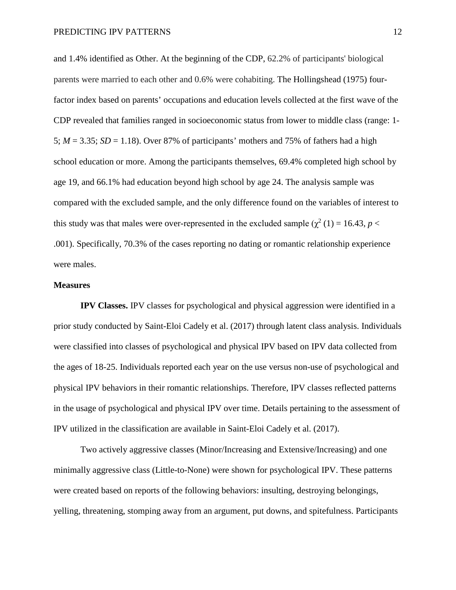and 1.4% identified as Other. At the beginning of the CDP, 62.2% of participants' biological parents were married to each other and 0.6% were cohabiting. The Hollingshead (1975) fourfactor index based on parents' occupations and education levels collected at the first wave of the CDP revealed that families ranged in socioeconomic status from lower to middle class (range: 1- 5;  $M = 3.35$ ;  $SD = 1.18$ ). Over 87% of participants' mothers and 75% of fathers had a high school education or more. Among the participants themselves, 69.4% completed high school by age 19, and 66.1% had education beyond high school by age 24. The analysis sample was compared with the excluded sample, and the only difference found on the variables of interest to this study was that males were over-represented in the excluded sample ( $\chi^2$  (1) = 16.43, *p* < .001). Specifically, 70.3% of the cases reporting no dating or romantic relationship experience were males.

## **Measures**

**IPV Classes.** IPV classes for psychological and physical aggression were identified in a prior study conducted by Saint-Eloi Cadely et al. (2017) through latent class analysis. Individuals were classified into classes of psychological and physical IPV based on IPV data collected from the ages of 18-25. Individuals reported each year on the use versus non-use of psychological and physical IPV behaviors in their romantic relationships. Therefore, IPV classes reflected patterns in the usage of psychological and physical IPV over time. Details pertaining to the assessment of IPV utilized in the classification are available in Saint-Eloi Cadely et al. (2017).

Two actively aggressive classes (Minor/Increasing and Extensive/Increasing) and one minimally aggressive class (Little-to-None) were shown for psychological IPV. These patterns were created based on reports of the following behaviors: insulting, destroying belongings, yelling, threatening, stomping away from an argument, put downs, and spitefulness. Participants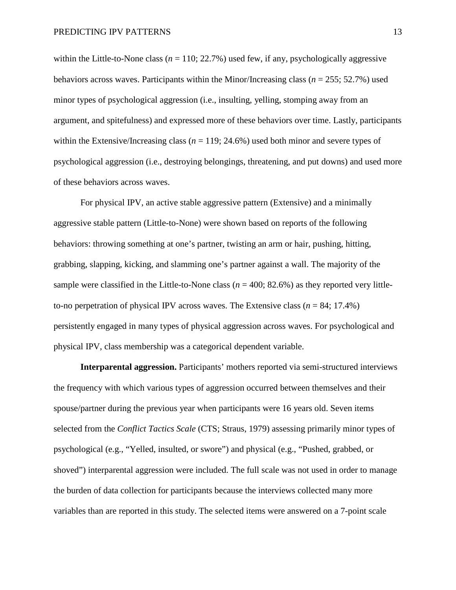within the Little-to-None class  $(n = 110; 22.7\%)$  used few, if any, psychologically aggressive behaviors across waves. Participants within the Minor/Increasing class (*n* = 255; 52.7%) used minor types of psychological aggression (i.e., insulting, yelling, stomping away from an argument, and spitefulness) and expressed more of these behaviors over time. Lastly, participants within the Extensive/Increasing class ( $n = 119$ ; 24.6%) used both minor and severe types of psychological aggression (i.e., destroying belongings, threatening, and put downs) and used more of these behaviors across waves.

For physical IPV, an active stable aggressive pattern (Extensive) and a minimally aggressive stable pattern (Little-to-None) were shown based on reports of the following behaviors: throwing something at one's partner, twisting an arm or hair, pushing, hitting, grabbing, slapping, kicking, and slamming one's partner against a wall. The majority of the sample were classified in the Little-to-None class ( $n = 400$ ; 82.6%) as they reported very littleto-no perpetration of physical IPV across waves. The Extensive class (*n* = 84; 17.4%) persistently engaged in many types of physical aggression across waves. For psychological and physical IPV, class membership was a categorical dependent variable.

**Interparental aggression.** Participants' mothers reported via semi-structured interviews the frequency with which various types of aggression occurred between themselves and their spouse/partner during the previous year when participants were 16 years old. Seven items selected from the *Conflict Tactics Scale* (CTS; Straus, 1979) assessing primarily minor types of psychological (e.g., "Yelled, insulted, or swore") and physical (e.g., "Pushed, grabbed, or shoved") interparental aggression were included. The full scale was not used in order to manage the burden of data collection for participants because the interviews collected many more variables than are reported in this study. The selected items were answered on a 7-point scale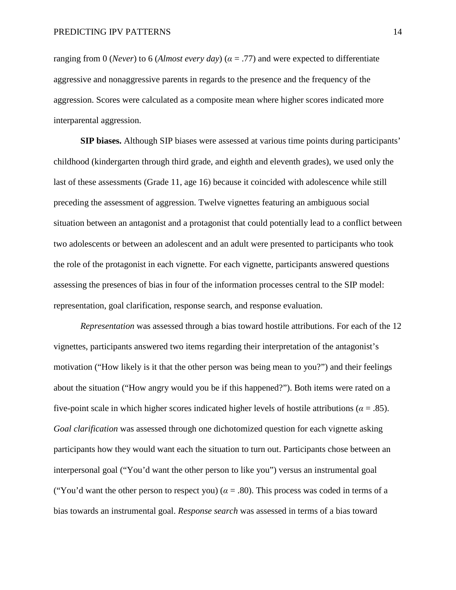ranging from 0 (*Never*) to 6 (*Almost every day*) ( $\alpha$  = .77) and were expected to differentiate aggressive and nonaggressive parents in regards to the presence and the frequency of the aggression. Scores were calculated as a composite mean where higher scores indicated more interparental aggression.

**SIP biases.** Although SIP biases were assessed at various time points during participants' childhood (kindergarten through third grade, and eighth and eleventh grades), we used only the last of these assessments (Grade 11, age 16) because it coincided with adolescence while still preceding the assessment of aggression. Twelve vignettes featuring an ambiguous social situation between an antagonist and a protagonist that could potentially lead to a conflict between two adolescents or between an adolescent and an adult were presented to participants who took the role of the protagonist in each vignette. For each vignette, participants answered questions assessing the presences of bias in four of the information processes central to the SIP model: representation, goal clarification, response search, and response evaluation.

*Representation* was assessed through a bias toward hostile attributions. For each of the 12 vignettes, participants answered two items regarding their interpretation of the antagonist's motivation ("How likely is it that the other person was being mean to you?") and their feelings about the situation ("How angry would you be if this happened?"). Both items were rated on a five-point scale in which higher scores indicated higher levels of hostile attributions ( $\alpha = .85$ ). *Goal clarification* was assessed through one dichotomized question for each vignette asking participants how they would want each the situation to turn out. Participants chose between an interpersonal goal ("You'd want the other person to like you") versus an instrumental goal ("You'd want the other person to respect you) ( $\alpha$  = .80). This process was coded in terms of a bias towards an instrumental goal. *Response search* was assessed in terms of a bias toward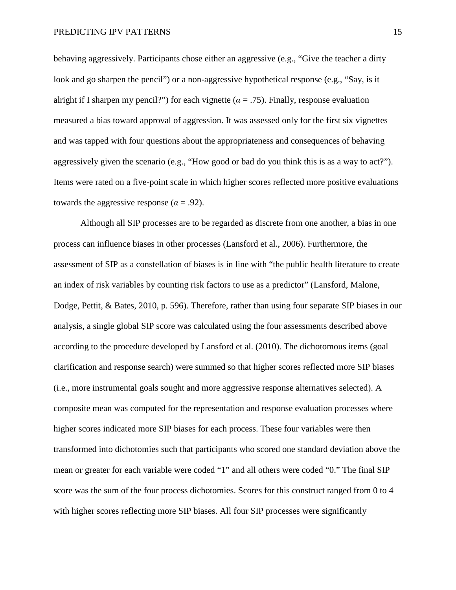behaving aggressively. Participants chose either an aggressive (e.g., "Give the teacher a dirty look and go sharpen the pencil") or a non-aggressive hypothetical response (e.g., "Say, is it alright if I sharpen my pencil?") for each vignette ( $\alpha = .75$ ). Finally, response evaluation measured a bias toward approval of aggression. It was assessed only for the first six vignettes and was tapped with four questions about the appropriateness and consequences of behaving aggressively given the scenario (e.g., "How good or bad do you think this is as a way to act?"). Items were rated on a five-point scale in which higher scores reflected more positive evaluations towards the aggressive response ( $\alpha$  = .92).

Although all SIP processes are to be regarded as discrete from one another, a bias in one process can influence biases in other processes (Lansford et al., 2006). Furthermore, the assessment of SIP as a constellation of biases is in line with "the public health literature to create an index of risk variables by counting risk factors to use as a predictor" (Lansford, Malone, Dodge, Pettit, & Bates, 2010, p. 596). Therefore, rather than using four separate SIP biases in our analysis, a single global SIP score was calculated using the four assessments described above according to the procedure developed by Lansford et al. (2010). The dichotomous items (goal clarification and response search) were summed so that higher scores reflected more SIP biases (i.e., more instrumental goals sought and more aggressive response alternatives selected). A composite mean was computed for the representation and response evaluation processes where higher scores indicated more SIP biases for each process. These four variables were then transformed into dichotomies such that participants who scored one standard deviation above the mean or greater for each variable were coded "1" and all others were coded "0." The final SIP score was the sum of the four process dichotomies. Scores for this construct ranged from 0 to 4 with higher scores reflecting more SIP biases. All four SIP processes were significantly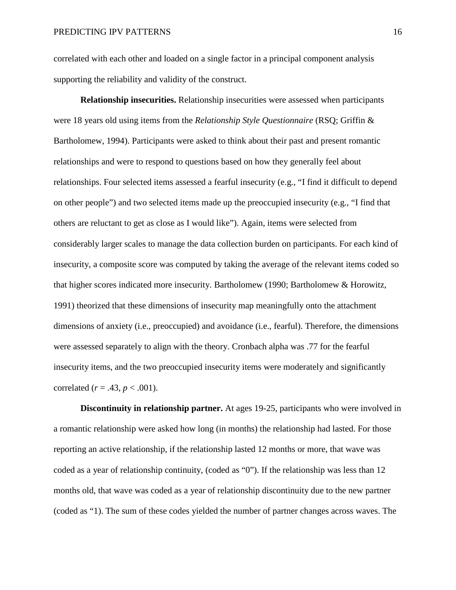correlated with each other and loaded on a single factor in a principal component analysis supporting the reliability and validity of the construct.

**Relationship insecurities.** Relationship insecurities were assessed when participants were 18 years old using items from the *Relationship Style Questionnaire* (RSQ; Griffin & Bartholomew, 1994). Participants were asked to think about their past and present romantic relationships and were to respond to questions based on how they generally feel about relationships. Four selected items assessed a fearful insecurity (e.g., "I find it difficult to depend on other people") and two selected items made up the preoccupied insecurity (e.g., "I find that others are reluctant to get as close as I would like"). Again, items were selected from considerably larger scales to manage the data collection burden on participants. For each kind of insecurity, a composite score was computed by taking the average of the relevant items coded so that higher scores indicated more insecurity. Bartholomew (1990; Bartholomew & Horowitz, 1991) theorized that these dimensions of insecurity map meaningfully onto the attachment dimensions of anxiety (i.e., preoccupied) and avoidance (i.e., fearful). Therefore, the dimensions were assessed separately to align with the theory. Cronbach alpha was .77 for the fearful insecurity items, and the two preoccupied insecurity items were moderately and significantly correlated ( $r = .43$ ,  $p < .001$ ).

**Discontinuity in relationship partner.** At ages 19-25, participants who were involved in a romantic relationship were asked how long (in months) the relationship had lasted. For those reporting an active relationship, if the relationship lasted 12 months or more, that wave was coded as a year of relationship continuity, (coded as "0"). If the relationship was less than 12 months old, that wave was coded as a year of relationship discontinuity due to the new partner (coded as "1). The sum of these codes yielded the number of partner changes across waves. The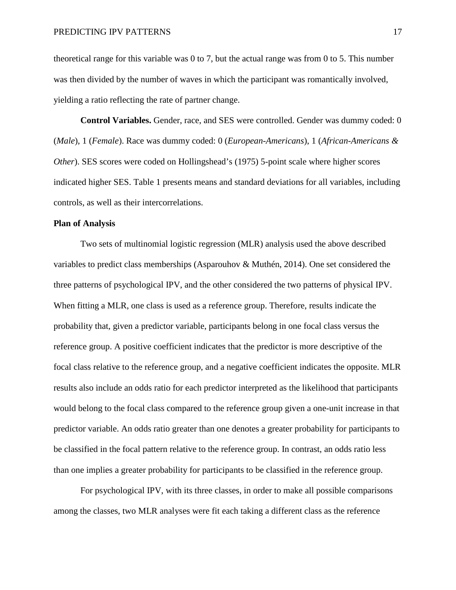theoretical range for this variable was 0 to 7, but the actual range was from 0 to 5. This number was then divided by the number of waves in which the participant was romantically involved, yielding a ratio reflecting the rate of partner change.

**Control Variables.** Gender, race, and SES were controlled. Gender was dummy coded: 0 (*Male*), 1 (*Female*). Race was dummy coded: 0 (*European-Americans*), 1 (*African-Americans & Other*). SES scores were coded on Hollingshead's (1975) 5-point scale where higher scores indicated higher SES. Table 1 presents means and standard deviations for all variables, including controls, as well as their intercorrelations.

# **Plan of Analysis**

Two sets of multinomial logistic regression (MLR) analysis used the above described variables to predict class memberships (Asparouhov & Muthén, 2014). One set considered the three patterns of psychological IPV, and the other considered the two patterns of physical IPV. When fitting a MLR, one class is used as a reference group. Therefore, results indicate the probability that, given a predictor variable, participants belong in one focal class versus the reference group. A positive coefficient indicates that the predictor is more descriptive of the focal class relative to the reference group, and a negative coefficient indicates the opposite. MLR results also include an odds ratio for each predictor interpreted as the likelihood that participants would belong to the focal class compared to the reference group given a one-unit increase in that predictor variable. An odds ratio greater than one denotes a greater probability for participants to be classified in the focal pattern relative to the reference group. In contrast, an odds ratio less than one implies a greater probability for participants to be classified in the reference group.

For psychological IPV, with its three classes, in order to make all possible comparisons among the classes, two MLR analyses were fit each taking a different class as the reference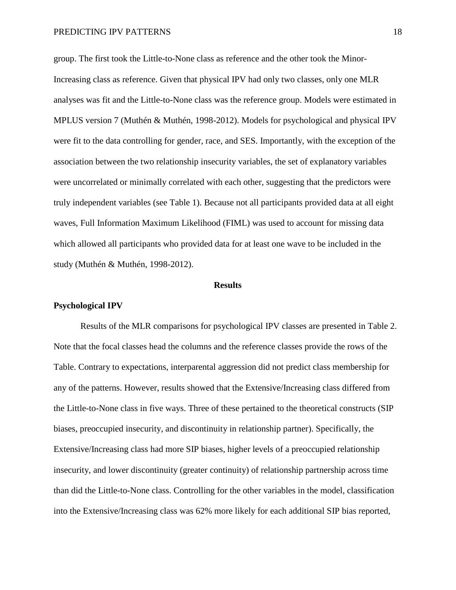group. The first took the Little-to-None class as reference and the other took the Minor-Increasing class as reference. Given that physical IPV had only two classes, only one MLR analyses was fit and the Little-to-None class was the reference group. Models were estimated in MPLUS version 7 (Muthén & Muthén, 1998-2012). Models for psychological and physical IPV were fit to the data controlling for gender, race, and SES. Importantly, with the exception of the association between the two relationship insecurity variables, the set of explanatory variables were uncorrelated or minimally correlated with each other, suggesting that the predictors were truly independent variables (see Table 1). Because not all participants provided data at all eight waves, Full Information Maximum Likelihood (FIML) was used to account for missing data which allowed all participants who provided data for at least one wave to be included in the study (Muthén & Muthén, 1998-2012).

### **Results**

#### **Psychological IPV**

Results of the MLR comparisons for psychological IPV classes are presented in Table 2. Note that the focal classes head the columns and the reference classes provide the rows of the Table. Contrary to expectations, interparental aggression did not predict class membership for any of the patterns. However, results showed that the Extensive/Increasing class differed from the Little-to-None class in five ways. Three of these pertained to the theoretical constructs (SIP biases, preoccupied insecurity, and discontinuity in relationship partner). Specifically, the Extensive/Increasing class had more SIP biases, higher levels of a preoccupied relationship insecurity, and lower discontinuity (greater continuity) of relationship partnership across time than did the Little-to-None class. Controlling for the other variables in the model, classification into the Extensive/Increasing class was 62% more likely for each additional SIP bias reported,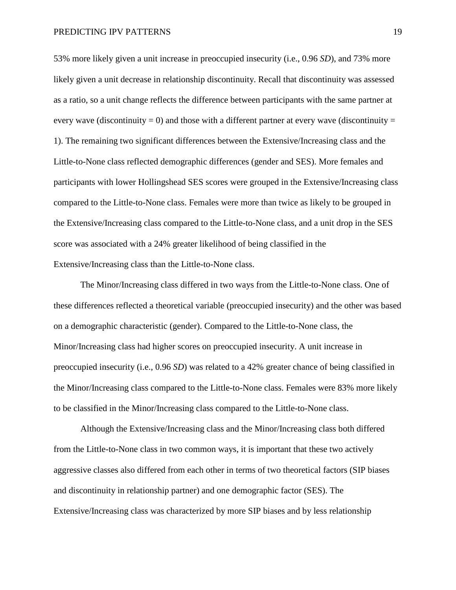53% more likely given a unit increase in preoccupied insecurity (i.e., 0.96 *SD*), and 73% more likely given a unit decrease in relationship discontinuity. Recall that discontinuity was assessed as a ratio, so a unit change reflects the difference between participants with the same partner at every wave (discontinuity = 0) and those with a different partner at every wave (discontinuity = 1). The remaining two significant differences between the Extensive/Increasing class and the Little-to-None class reflected demographic differences (gender and SES). More females and participants with lower Hollingshead SES scores were grouped in the Extensive/Increasing class compared to the Little-to-None class. Females were more than twice as likely to be grouped in the Extensive/Increasing class compared to the Little-to-None class, and a unit drop in the SES score was associated with a 24% greater likelihood of being classified in the Extensive/Increasing class than the Little-to-None class.

The Minor/Increasing class differed in two ways from the Little-to-None class. One of these differences reflected a theoretical variable (preoccupied insecurity) and the other was based on a demographic characteristic (gender). Compared to the Little-to-None class, the Minor/Increasing class had higher scores on preoccupied insecurity. A unit increase in preoccupied insecurity (i.e., 0.96 *SD*) was related to a 42% greater chance of being classified in the Minor/Increasing class compared to the Little-to-None class. Females were 83% more likely to be classified in the Minor/Increasing class compared to the Little-to-None class.

Although the Extensive/Increasing class and the Minor/Increasing class both differed from the Little-to-None class in two common ways, it is important that these two actively aggressive classes also differed from each other in terms of two theoretical factors (SIP biases and discontinuity in relationship partner) and one demographic factor (SES). The Extensive/Increasing class was characterized by more SIP biases and by less relationship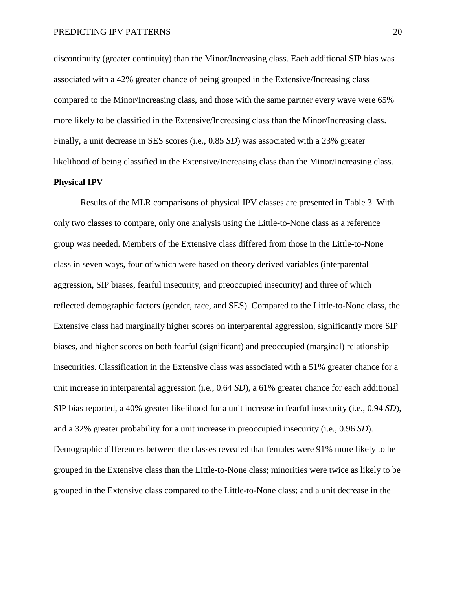discontinuity (greater continuity) than the Minor/Increasing class. Each additional SIP bias was associated with a 42% greater chance of being grouped in the Extensive/Increasing class compared to the Minor/Increasing class, and those with the same partner every wave were 65% more likely to be classified in the Extensive/Increasing class than the Minor/Increasing class. Finally, a unit decrease in SES scores (i.e., 0.85 *SD*) was associated with a 23% greater likelihood of being classified in the Extensive/Increasing class than the Minor/Increasing class.

# **Physical IPV**

Results of the MLR comparisons of physical IPV classes are presented in Table 3. With only two classes to compare, only one analysis using the Little-to-None class as a reference group was needed. Members of the Extensive class differed from those in the Little-to-None class in seven ways, four of which were based on theory derived variables (interparental aggression, SIP biases, fearful insecurity, and preoccupied insecurity) and three of which reflected demographic factors (gender, race, and SES). Compared to the Little-to-None class, the Extensive class had marginally higher scores on interparental aggression, significantly more SIP biases, and higher scores on both fearful (significant) and preoccupied (marginal) relationship insecurities. Classification in the Extensive class was associated with a 51% greater chance for a unit increase in interparental aggression (i.e., 0.64 *SD*), a 61% greater chance for each additional SIP bias reported, a 40% greater likelihood for a unit increase in fearful insecurity (i.e., 0.94 *SD*), and a 32% greater probability for a unit increase in preoccupied insecurity (i.e., 0.96 *SD*). Demographic differences between the classes revealed that females were 91% more likely to be grouped in the Extensive class than the Little-to-None class; minorities were twice as likely to be grouped in the Extensive class compared to the Little-to-None class; and a unit decrease in the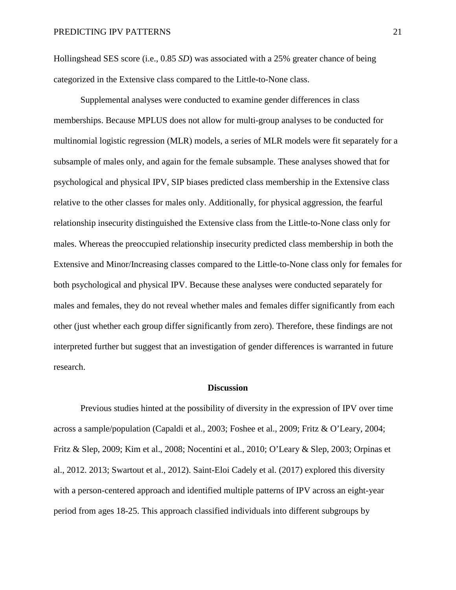Hollingshead SES score (i.e., 0.85 *SD*) was associated with a 25% greater chance of being categorized in the Extensive class compared to the Little-to-None class.

Supplemental analyses were conducted to examine gender differences in class memberships. Because MPLUS does not allow for multi-group analyses to be conducted for multinomial logistic regression (MLR) models, a series of MLR models were fit separately for a subsample of males only, and again for the female subsample. These analyses showed that for psychological and physical IPV, SIP biases predicted class membership in the Extensive class relative to the other classes for males only. Additionally, for physical aggression, the fearful relationship insecurity distinguished the Extensive class from the Little-to-None class only for males. Whereas the preoccupied relationship insecurity predicted class membership in both the Extensive and Minor/Increasing classes compared to the Little-to-None class only for females for both psychological and physical IPV. Because these analyses were conducted separately for males and females, they do not reveal whether males and females differ significantly from each other (just whether each group differ significantly from zero). Therefore, these findings are not interpreted further but suggest that an investigation of gender differences is warranted in future research.

#### **Discussion**

Previous studies hinted at the possibility of diversity in the expression of IPV over time across a sample/population (Capaldi et al., 2003; Foshee et al., 2009; Fritz & O'Leary, 2004; Fritz & Slep, 2009; Kim et al., 2008; Nocentini et al., 2010; O'Leary & Slep, 2003; Orpinas et al., 2012. 2013; Swartout et al., 2012). Saint-Eloi Cadely et al. (2017) explored this diversity with a person-centered approach and identified multiple patterns of IPV across an eight-year period from ages 18-25. This approach classified individuals into different subgroups by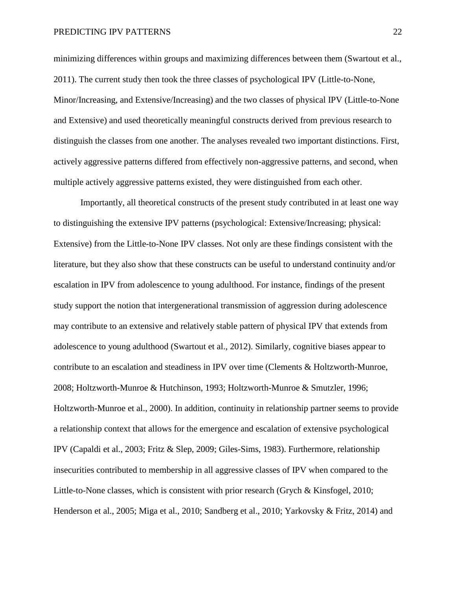minimizing differences within groups and maximizing differences between them (Swartout et al., 2011). The current study then took the three classes of psychological IPV (Little-to-None, Minor/Increasing, and Extensive/Increasing) and the two classes of physical IPV (Little-to-None and Extensive) and used theoretically meaningful constructs derived from previous research to distinguish the classes from one another. The analyses revealed two important distinctions. First, actively aggressive patterns differed from effectively non-aggressive patterns, and second, when multiple actively aggressive patterns existed, they were distinguished from each other.

Importantly, all theoretical constructs of the present study contributed in at least one way to distinguishing the extensive IPV patterns (psychological: Extensive/Increasing; physical: Extensive) from the Little-to-None IPV classes. Not only are these findings consistent with the literature, but they also show that these constructs can be useful to understand continuity and/or escalation in IPV from adolescence to young adulthood. For instance, findings of the present study support the notion that intergenerational transmission of aggression during adolescence may contribute to an extensive and relatively stable pattern of physical IPV that extends from adolescence to young adulthood (Swartout et al., 2012). Similarly, cognitive biases appear to contribute to an escalation and steadiness in IPV over time (Clements & Holtzworth-Munroe, 2008; Holtzworth-Munroe & Hutchinson, 1993; Holtzworth-Munroe & Smutzler, 1996; Holtzworth-Munroe et al., 2000). In addition, continuity in relationship partner seems to provide a relationship context that allows for the emergence and escalation of extensive psychological IPV (Capaldi et al., 2003; Fritz & Slep, 2009; Giles-Sims, 1983). Furthermore, relationship insecurities contributed to membership in all aggressive classes of IPV when compared to the Little-to-None classes, which is consistent with prior research (Grych & Kinsfogel, 2010; Henderson et al., 2005; Miga et al., 2010; Sandberg et al., 2010; Yarkovsky & Fritz, 2014) and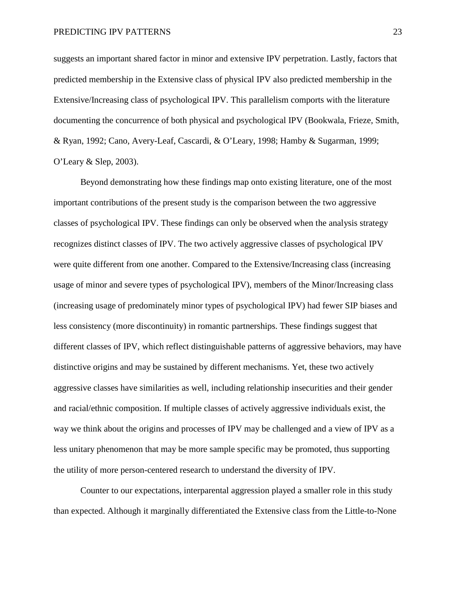suggests an important shared factor in minor and extensive IPV perpetration. Lastly, factors that predicted membership in the Extensive class of physical IPV also predicted membership in the Extensive/Increasing class of psychological IPV. This parallelism comports with the literature documenting the concurrence of both physical and psychological IPV (Bookwala, Frieze, Smith, & Ryan, 1992; Cano, Avery-Leaf, Cascardi, & O'Leary, 1998; Hamby & Sugarman, 1999; O'Leary & Slep, 2003).

Beyond demonstrating how these findings map onto existing literature, one of the most important contributions of the present study is the comparison between the two aggressive classes of psychological IPV. These findings can only be observed when the analysis strategy recognizes distinct classes of IPV. The two actively aggressive classes of psychological IPV were quite different from one another. Compared to the Extensive/Increasing class (increasing usage of minor and severe types of psychological IPV), members of the Minor/Increasing class (increasing usage of predominately minor types of psychological IPV) had fewer SIP biases and less consistency (more discontinuity) in romantic partnerships. These findings suggest that different classes of IPV, which reflect distinguishable patterns of aggressive behaviors, may have distinctive origins and may be sustained by different mechanisms. Yet, these two actively aggressive classes have similarities as well, including relationship insecurities and their gender and racial/ethnic composition. If multiple classes of actively aggressive individuals exist, the way we think about the origins and processes of IPV may be challenged and a view of IPV as a less unitary phenomenon that may be more sample specific may be promoted, thus supporting the utility of more person-centered research to understand the diversity of IPV.

Counter to our expectations, interparental aggression played a smaller role in this study than expected. Although it marginally differentiated the Extensive class from the Little-to-None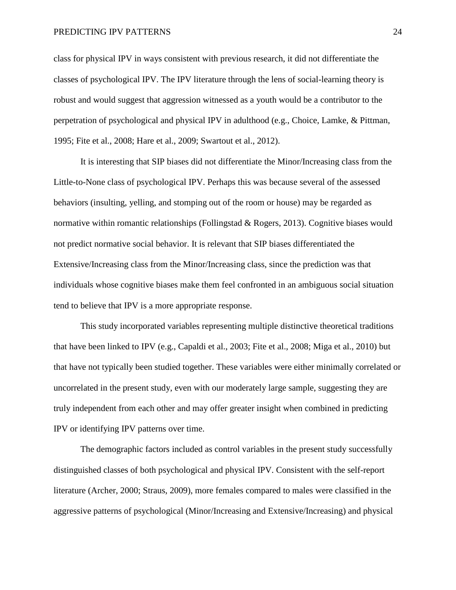class for physical IPV in ways consistent with previous research, it did not differentiate the classes of psychological IPV. The IPV literature through the lens of social-learning theory is robust and would suggest that aggression witnessed as a youth would be a contributor to the perpetration of psychological and physical IPV in adulthood (e.g., Choice, Lamke, & Pittman, 1995; Fite et al., 2008; Hare et al., 2009; Swartout et al., 2012).

It is interesting that SIP biases did not differentiate the Minor/Increasing class from the Little-to-None class of psychological IPV. Perhaps this was because several of the assessed behaviors (insulting, yelling, and stomping out of the room or house) may be regarded as normative within romantic relationships (Follingstad & Rogers, 2013). Cognitive biases would not predict normative social behavior. It is relevant that SIP biases differentiated the Extensive/Increasing class from the Minor/Increasing class, since the prediction was that individuals whose cognitive biases make them feel confronted in an ambiguous social situation tend to believe that IPV is a more appropriate response.

This study incorporated variables representing multiple distinctive theoretical traditions that have been linked to IPV (e.g., Capaldi et al., 2003; Fite et al., 2008; Miga et al., 2010) but that have not typically been studied together. These variables were either minimally correlated or uncorrelated in the present study, even with our moderately large sample, suggesting they are truly independent from each other and may offer greater insight when combined in predicting IPV or identifying IPV patterns over time.

The demographic factors included as control variables in the present study successfully distinguished classes of both psychological and physical IPV. Consistent with the self-report literature (Archer, 2000; Straus, 2009), more females compared to males were classified in the aggressive patterns of psychological (Minor/Increasing and Extensive/Increasing) and physical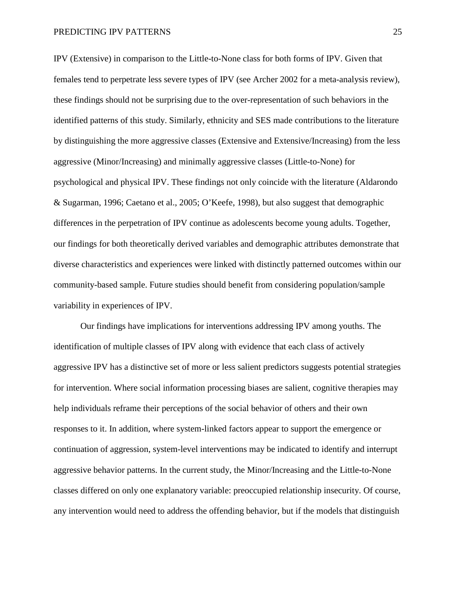IPV (Extensive) in comparison to the Little-to-None class for both forms of IPV. Given that females tend to perpetrate less severe types of IPV (see Archer 2002 for a meta-analysis review), these findings should not be surprising due to the over-representation of such behaviors in the identified patterns of this study. Similarly, ethnicity and SES made contributions to the literature by distinguishing the more aggressive classes (Extensive and Extensive/Increasing) from the less aggressive (Minor/Increasing) and minimally aggressive classes (Little-to-None) for psychological and physical IPV. These findings not only coincide with the literature (Aldarondo & Sugarman, 1996; Caetano et al., 2005; O'Keefe, 1998), but also suggest that demographic differences in the perpetration of IPV continue as adolescents become young adults. Together, our findings for both theoretically derived variables and demographic attributes demonstrate that diverse characteristics and experiences were linked with distinctly patterned outcomes within our community-based sample. Future studies should benefit from considering population/sample variability in experiences of IPV.

Our findings have implications for interventions addressing IPV among youths. The identification of multiple classes of IPV along with evidence that each class of actively aggressive IPV has a distinctive set of more or less salient predictors suggests potential strategies for intervention. Where social information processing biases are salient, cognitive therapies may help individuals reframe their perceptions of the social behavior of others and their own responses to it. In addition, where system-linked factors appear to support the emergence or continuation of aggression, system-level interventions may be indicated to identify and interrupt aggressive behavior patterns. In the current study, the Minor/Increasing and the Little-to-None classes differed on only one explanatory variable: preoccupied relationship insecurity. Of course, any intervention would need to address the offending behavior, but if the models that distinguish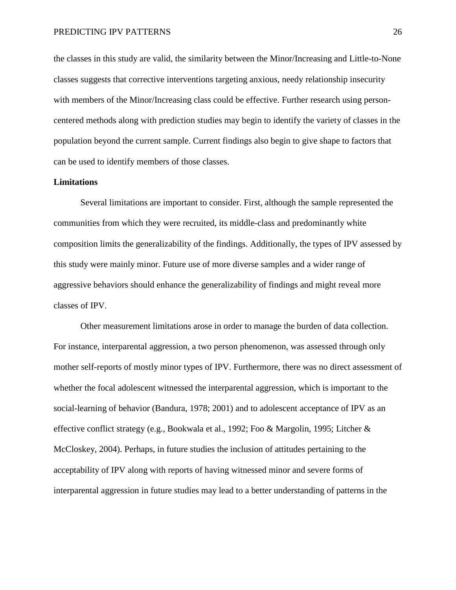the classes in this study are valid, the similarity between the Minor/Increasing and Little-to-None classes suggests that corrective interventions targeting anxious, needy relationship insecurity with members of the Minor/Increasing class could be effective. Further research using personcentered methods along with prediction studies may begin to identify the variety of classes in the population beyond the current sample. Current findings also begin to give shape to factors that can be used to identify members of those classes.

# **Limitations**

Several limitations are important to consider. First, although the sample represented the communities from which they were recruited, its middle-class and predominantly white composition limits the generalizability of the findings. Additionally, the types of IPV assessed by this study were mainly minor. Future use of more diverse samples and a wider range of aggressive behaviors should enhance the generalizability of findings and might reveal more classes of IPV.

Other measurement limitations arose in order to manage the burden of data collection. For instance, interparental aggression, a two person phenomenon, was assessed through only mother self-reports of mostly minor types of IPV. Furthermore, there was no direct assessment of whether the focal adolescent witnessed the interparental aggression, which is important to the social-learning of behavior (Bandura, 1978; 2001) and to adolescent acceptance of IPV as an effective conflict strategy (e.g., Bookwala et al., 1992; Foo & Margolin, 1995; Litcher & McCloskey, 2004). Perhaps, in future studies the inclusion of attitudes pertaining to the acceptability of IPV along with reports of having witnessed minor and severe forms of interparental aggression in future studies may lead to a better understanding of patterns in the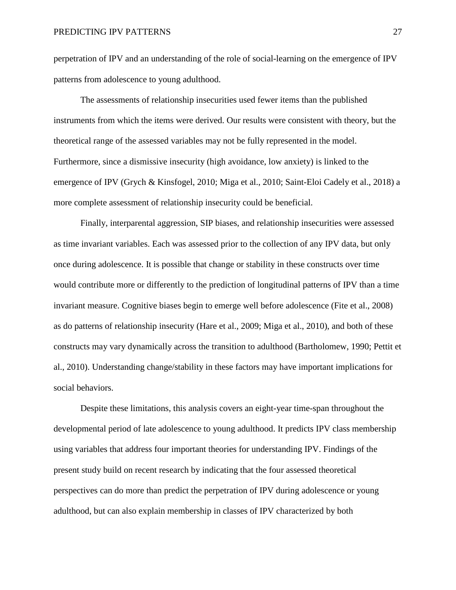perpetration of IPV and an understanding of the role of social-learning on the emergence of IPV patterns from adolescence to young adulthood.

The assessments of relationship insecurities used fewer items than the published instruments from which the items were derived. Our results were consistent with theory, but the theoretical range of the assessed variables may not be fully represented in the model. Furthermore, since a dismissive insecurity (high avoidance, low anxiety) is linked to the emergence of IPV (Grych & Kinsfogel, 2010; Miga et al., 2010; Saint-Eloi Cadely et al., 2018) a more complete assessment of relationship insecurity could be beneficial.

Finally, interparental aggression, SIP biases, and relationship insecurities were assessed as time invariant variables. Each was assessed prior to the collection of any IPV data, but only once during adolescence. It is possible that change or stability in these constructs over time would contribute more or differently to the prediction of longitudinal patterns of IPV than a time invariant measure. Cognitive biases begin to emerge well before adolescence (Fite et al., 2008) as do patterns of relationship insecurity (Hare et al., 2009; Miga et al., 2010), and both of these constructs may vary dynamically across the transition to adulthood (Bartholomew, 1990; Pettit et al., 2010). Understanding change/stability in these factors may have important implications for social behaviors.

Despite these limitations, this analysis covers an eight-year time-span throughout the developmental period of late adolescence to young adulthood. It predicts IPV class membership using variables that address four important theories for understanding IPV. Findings of the present study build on recent research by indicating that the four assessed theoretical perspectives can do more than predict the perpetration of IPV during adolescence or young adulthood, but can also explain membership in classes of IPV characterized by both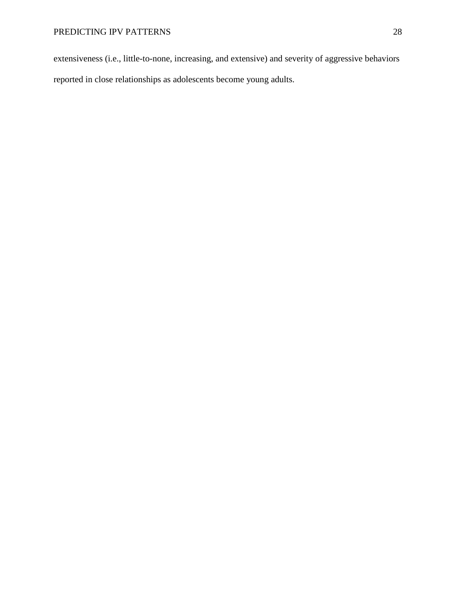extensiveness (i.e., little-to-none, increasing, and extensive) and severity of aggressive behaviors reported in close relationships as adolescents become young adults.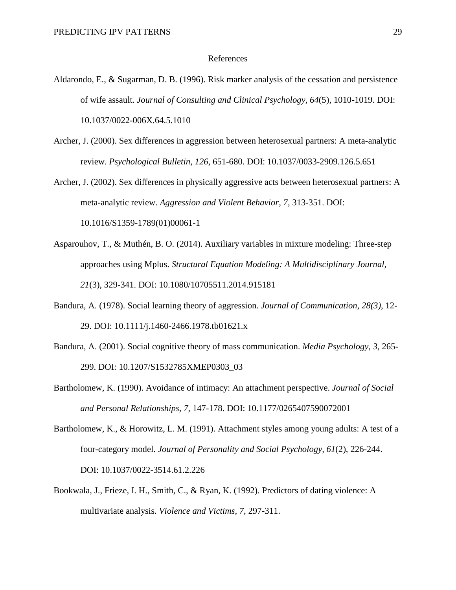#### References

- Aldarondo, E., & Sugarman, D. B. (1996). Risk marker analysis of the cessation and persistence of wife assault. *Journal of Consulting and Clinical Psychology, 64*(5), 1010-1019. DOI: 10.1037/0022-006X.64.5.1010
- Archer, J. (2000). Sex differences in aggression between heterosexual partners: A meta-analytic review. *Psychological Bulletin, 126*, 651-680. DOI: 10.1037/0033-2909.126.5.651
- Archer, J. (2002). Sex differences in physically aggressive acts between heterosexual partners: A meta-analytic review. *Aggression and Violent Behavior, 7*, 313-351. DOI: [10.1016/S1359-1789\(01\)00061-1](https://doi.org/10.1016/S1359-1789(01)00061-1)
- Asparouhov, T., & Muthén, B. O. (2014). Auxiliary variables in mixture modeling: Three-step approaches using Mplus. *Structural Equation Modeling: A Multidisciplinary Journal, 21*(3), 329-341. DOI: [10.1080/10705511.2014.915181](https://doi.org/10.1080/10705511.2014.915181)
- Bandura, A. (1978). Social learning theory of aggression. *Journal of Communication, 28(3)*, 12- 29. DOI: 10.1111/j.1460-2466.1978.tb01621.x
- Bandura, A. (2001). Social cognitive theory of mass communication. *Media Psychology, 3*, 265- 299. DOI: 10.1207/S1532785XMEP0303\_03
- Bartholomew, K. (1990). Avoidance of intimacy: An attachment perspective. *Journal of Social and Personal Relationships, 7*, 147-178. DOI: 10.1177/0265407590072001
- Bartholomew, K., & Horowitz, L. M. (1991). Attachment styles among young adults: A test of a four-category model. *Journal of Personality and Social Psychology, 61*(2), 226-244. DOI: 10.1037/0022-3514.61.2.226
- Bookwala, J., Frieze, I. H., Smith, C., & Ryan, K. (1992). Predictors of dating violence: A multivariate analysis. *Violence and Victims, 7*, 297-311.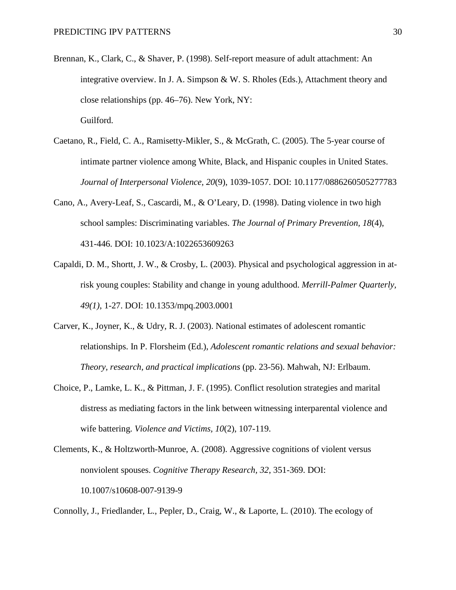- Brennan, K., Clark, C., & Shaver, P. (1998). Self-report measure of adult attachment: An integrative overview. In J. A. Simpson & W. S. Rholes (Eds.), Attachment theory and close relationships (pp. 46–76). New York, NY: Guilford.
- Caetano, R., Field, C. A., Ramisetty-Mikler, S., & McGrath, C. (2005). The 5-year course of intimate partner violence among White, Black, and Hispanic couples in United States. *Journal of Interpersonal Violence, 20*(9), 1039-1057. DOI: 10.1177/0886260505277783
- Cano, A., Avery-Leaf, S., Cascardi, M., & O'Leary, D. (1998). Dating violence in two high school samples: Discriminating variables. *The Journal of Primary Prevention, 18*(4), 431-446. DOI: 10.1023/A:1022653609263
- Capaldi, D. M., Shortt, J. W., & Crosby, L. (2003). Physical and psychological aggression in atrisk young couples: Stability and change in young adulthood. *Merrill-Palmer Quarterly, 49(1)*, 1-27. DOI: 10.1353/mpq.2003.0001
- Carver, K., Joyner, K., & Udry, R. J. (2003). National estimates of adolescent romantic relationships. In P. Florsheim (Ed.), *Adolescent romantic relations and sexual behavior: Theory, research, and practical implications* (pp. 23-56). Mahwah, NJ: Erlbaum.
- Choice, P., Lamke, L. K., & Pittman, J. F. (1995). Conflict resolution strategies and marital distress as mediating factors in the link between witnessing interparental violence and wife battering. *Violence and Victims, 10*(2), 107-119.
- Clements, K., & Holtzworth-Munroe, A. (2008). Aggressive cognitions of violent versus nonviolent spouses. *Cognitive Therapy Research, 32*, 351-369. DOI: 10.1007/s10608-007-9139-9

Connolly, J., Friedlander, L., Pepler, D., Craig, W., & Laporte, L. (2010). The ecology of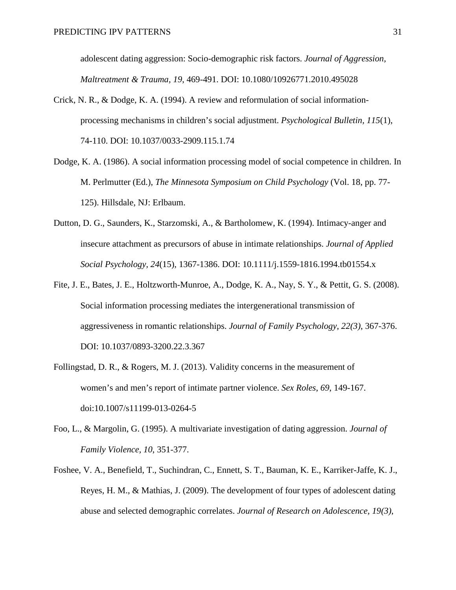adolescent dating aggression: Socio-demographic risk factors. *Journal of Aggression, Maltreatment & Trauma, 19*, 469-491. DOI: 10.1080/10926771.2010.495028

- Crick, N. R., & Dodge, K. A. (1994). A review and reformulation of social informationprocessing mechanisms in children's social adjustment. *Psychological Bulletin, 115*(1), 74-110. DOI: 10.1037/0033-2909.115.1.74
- Dodge, K. A. (1986). A social information processing model of social competence in children. In M. Perlmutter (Ed.), *The Minnesota Symposium on Child Psychology* (Vol. 18, pp. 77- 125). Hillsdale, NJ: Erlbaum.
- Dutton, D. G., Saunders, K., Starzomski, A., & Bartholomew, K. (1994). Intimacy-anger and insecure attachment as precursors of abuse in intimate relationships. *Journal of Applied Social Psychology, 24*(15), 1367-1386. DOI: 10.1111/j.1559-1816.1994.tb01554.x
- Fite, J. E., Bates, J. E., Holtzworth-Munroe, A., Dodge, K. A., Nay, S. Y., & Pettit, G. S. (2008). Social information processing mediates the intergenerational transmission of aggressiveness in romantic relationships. *Journal of Family Psychology, 22(3)*, 367-376. DOI: 10.1037/0893-3200.22.3.367
- Follingstad, D. R., & Rogers, M. J. (2013). Validity concerns in the measurement of women's and men's report of intimate partner violence. *Sex Roles*, *69*, 149-167. doi:10.1007/s11199-013-0264-5
- Foo, L., & Margolin, G. (1995). A multivariate investigation of dating aggression. *Journal of Family Violence, 10*, 351-377.
- Foshee, V. A., Benefield, T., Suchindran, C., Ennett, S. T., Bauman, K. E., Karriker-Jaffe, K. J., Reyes, H. M., & Mathias, J. (2009). The development of four types of adolescent dating abuse and selected demographic correlates. *Journal of Research on Adolescence, 19(3)*,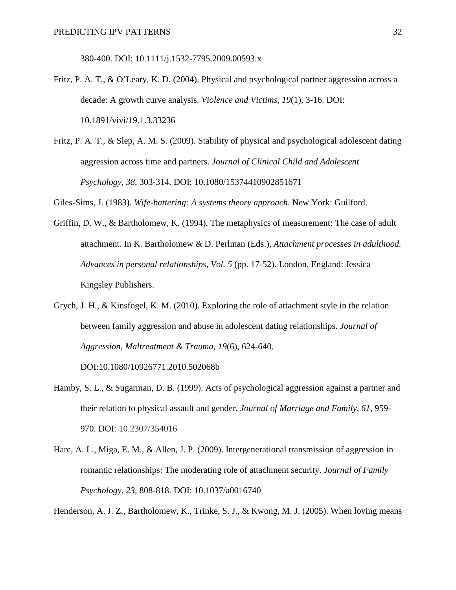380-400. DOI: 10.1111/j.1532-7795.2009.00593.x

- Fritz, P. A. T., & O'Leary, K. D. (2004). Physical and psychological partner aggression across a decade: A growth curve analysis. *Violence and Victims, 19*(1), 3-16. DOI: 10.1891/vivi/19.1.3.33236
- Fritz, P. A. T., & Slep, A. M. S. (2009). Stability of physical and psychological adolescent dating aggression across time and partners. *Journal of Clinical Child and Adolescent Psychology, 38*, 303-314. DOI: 10.1080/15374410902851671

Giles-Sims, J. (1983). *Wife-battering: A systems theory approach*. New York: Guilford.

- Griffin, D. W., & Bartholomew, K. (1994). The metaphysics of measurement: The case of adult attachment. In K. Bartholomew & D. Perlman (Eds.), *Attachment processes in adulthood. Advances in personal relationships, Vol. 5* (pp. 17-52). London, England: Jessica Kingsley Publishers.
- Grych, J. H., & Kinsfogel, K. M. (2010). Exploring the role of attachment style in the relation between family aggression and abuse in adolescent dating relationships. *Journal of Aggression, Maltreatment & Trauma, 19*(6), 624-640.

DOI:10.1080/10926771.2010.502068b

- Hamby, S. L., & Sugarman, D. B. (1999). Acts of psychological aggression against a partner and their relation to physical assault and gender. *Journal of Marriage and Family, 61*, 959- 970. DOI: 10.2307/354016
- Hare, A. L., Miga, E. M., & Allen, J. P. (2009). Intergenerational transmission of aggression in romantic relationships: The moderating role of attachment security. *Journal of Family Psychology, 23*, 808-818. DOI: 10.1037/a0016740

Henderson, A. J. Z., Bartholomew, K., Trinke, S. J., & Kwong, M. J. (2005). When loving means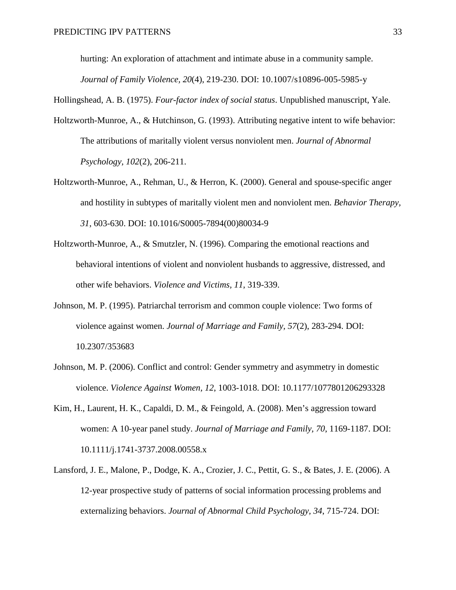hurting: An exploration of attachment and intimate abuse in a community sample. *Journal of Family Violence, 20*(4), 219-230. DOI: 10.1007/s10896-005-5985-y

Hollingshead, A. B. (1975). *Four-factor index of social status*. Unpublished manuscript, Yale.

- Holtzworth-Munroe, A., & Hutchinson, G. (1993). Attributing negative intent to wife behavior: The attributions of maritally violent versus nonviolent men. *Journal of Abnormal Psychology, 102*(2), 206-211.
- Holtzworth-Munroe, A., Rehman, U., & Herron, K. (2000). General and spouse-specific anger and hostility in subtypes of maritally violent men and nonviolent men. *Behavior Therapy, 31*, 603-630. DOI: 10.1016/S0005-7894(00)80034-9
- Holtzworth-Munroe, A., & Smutzler, N. (1996). Comparing the emotional reactions and behavioral intentions of violent and nonviolent husbands to aggressive, distressed, and other wife behaviors. *Violence and Victims, 11*, 319-339.
- Johnson, M. P. (1995). Patriarchal terrorism and common couple violence: Two forms of violence against women. *Journal of Marriage and Family, 57*(2), 283-294. DOI: 10.2307/353683
- Johnson, M. P. (2006). Conflict and control: Gender symmetry and asymmetry in domestic violence. *Violence Against Women, 12*, 1003-1018. DOI: 10.1177/1077801206293328
- Kim, H., Laurent, H. K., Capaldi, D. M., & Feingold, A. (2008). Men's aggression toward women: A 10-year panel study. *Journal of Marriage and Family, 70*, 1169-1187. DOI: 10.1111/j.1741-3737.2008.00558.x
- Lansford, J. E., Malone, P., Dodge, K. A., Crozier, J. C., Pettit, G. S., & Bates, J. E. (2006). A 12-year prospective study of patterns of social information processing problems and externalizing behaviors. *Journal of Abnormal Child Psychology, 34*, 715-724. DOI: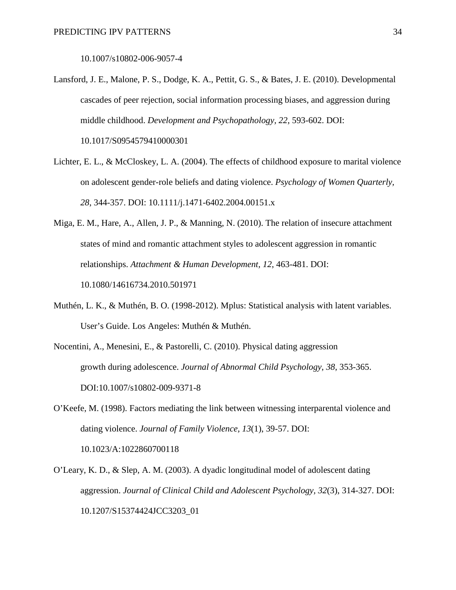10.1007/s10802-006-9057-4

- Lansford, J. E., Malone, P. S., Dodge, K. A., Pettit, G. S., & Bates, J. E. (2010). Developmental cascades of peer rejection, social information processing biases, and aggression during middle childhood. *Development and Psychopathology, 22*, 593-602. DOI: 10.1017/S0954579410000301
- Lichter, E. L., & McCloskey, L. A. (2004). The effects of childhood exposure to marital violence on adolescent gender-role beliefs and dating violence. *Psychology of Women Quarterly, 28*, 344-357. DOI: 10.1111/j.1471-6402.2004.00151.x
- Miga, E. M., Hare, A., Allen, J. P., & Manning, N. (2010). The relation of insecure attachment states of mind and romantic attachment styles to adolescent aggression in romantic relationships. *Attachment & Human Development, 12*, 463-481. DOI: 10.1080/14616734.2010.501971
- Muthén, L. K., & Muthén, B. O. (1998-2012). Mplus: Statistical analysis with latent variables. User's Guide. Los Angeles: Muthén & Muthén.
- Nocentini, A., Menesini, E., & Pastorelli, C. (2010). Physical dating aggression growth during adolescence. *Journal of Abnormal Child Psychology*, *38*, 353-365. DOI:10.1007/s10802-009-9371-8
- O'Keefe, M. (1998). Factors mediating the link between witnessing interparental violence and dating violence. *Journal of Family Violence, 13*(1), 39-57. DOI: 10.1023/A:1022860700118
- O'Leary, K. D., & Slep, A. M. (2003). A dyadic longitudinal model of adolescent dating aggression. *Journal of Clinical Child and Adolescent Psychology, 32*(3), 314-327. DOI: 10.1207/S15374424JCC3203\_01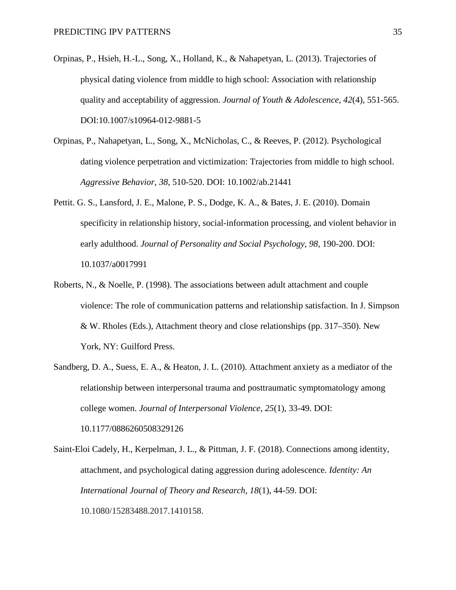- Orpinas, P., Hsieh, H.-L., Song, X., Holland, K., & Nahapetyan, L. (2013). Trajectories of physical dating violence from middle to high school: Association with relationship quality and acceptability of aggression. *Journal of Youth & Adolescence, 42*(4), 551-565. DOI:10.1007/s10964-012-9881-5
- Orpinas, P., Nahapetyan, L., Song, X., McNicholas, C., & Reeves, P. (2012). Psychological dating violence perpetration and victimization: Trajectories from middle to high school. *Aggressive Behavior, 38*, 510-520. DOI: 10.1002/ab.21441
- Pettit. G. S., Lansford, J. E., Malone, P. S., Dodge, K. A., & Bates, J. E. (2010). Domain specificity in relationship history, social-information processing, and violent behavior in early adulthood. *Journal of Personality and Social Psychology, 98*, 190-200. DOI: 10.1037/a0017991
- Roberts, N., & Noelle, P. (1998). The associations between adult attachment and couple violence: The role of communication patterns and relationship satisfaction. In J. Simpson & W. Rholes (Eds.), Attachment theory and close relationships (pp. 317–350). New York, NY: Guilford Press.
- Sandberg, D. A., Suess, E. A., & Heaton, J. L. (2010). Attachment anxiety as a mediator of the relationship between interpersonal trauma and posttraumatic symptomatology among college women. *Journal of Interpersonal Violence, 25*(1), 33-49. DOI: 10.1177/0886260508329126
- Saint-Eloi Cadely, H., Kerpelman, J. L., & Pittman, J. F. (2018). Connections among identity, attachment, and psychological dating aggression during adolescence. *Identity: An International Journal of Theory and Research, 18*(1), 44-59. DOI: 10.1080/15283488.2017.1410158.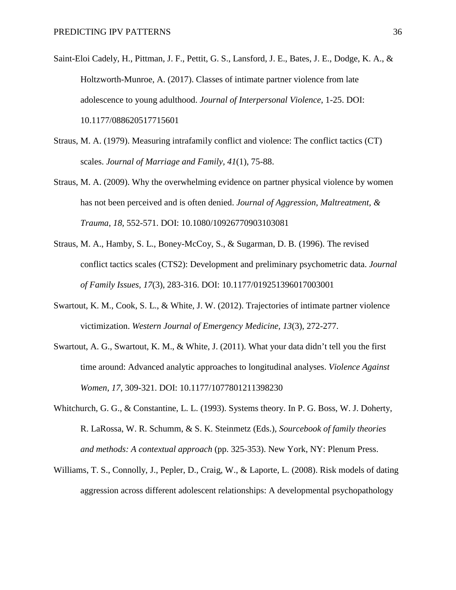- Saint-Eloi Cadely, H., Pittman, J. F., Pettit, G. S., Lansford, J. E., Bates, J. E., Dodge, K. A., & Holtzworth-Munroe, A. (2017). Classes of intimate partner violence from late adolescence to young adulthood. *Journal of Interpersonal Violence*, 1-25. DOI: 10.1177/088620517715601
- Straus, M. A. (1979). Measuring intrafamily conflict and violence: The conflict tactics (CT) scales. *Journal of Marriage and Family, 41*(1), 75-88.
- Straus, M. A. (2009). Why the overwhelming evidence on partner physical violence by women has not been perceived and is often denied. *Journal of Aggression, Maltreatment, & Trauma*, *18*, 552-571. DOI: 10.1080/10926770903103081
- Straus, M. A., Hamby, S. L., Boney-McCoy, S., & Sugarman, D. B. (1996). The revised conflict tactics scales (CTS2): Development and preliminary psychometric data. *Journal of Family Issues, 17*(3), 283-316. DOI: 10.1177/019251396017003001
- Swartout, K. M., Cook, S. L., & White, J. W. (2012). Trajectories of intimate partner violence victimization. *Western Journal of Emergency Medicine, 13*(3), 272-277.
- Swartout, A. G., Swartout, K. M., & White, J. (2011). What your data didn't tell you the first time around: Advanced analytic approaches to longitudinal analyses. *Violence Against Women*, *17*, 309-321. DOI: 10.1177/1077801211398230
- Whitchurch, G. G., & Constantine, L. L. (1993). Systems theory. In P. G. Boss, W. J. Doherty, R. LaRossa, W. R. Schumm, & S. K. Steinmetz (Eds.), *Sourcebook of family theories and methods: A contextual approach* (pp. 325-353). New York, NY: Plenum Press.
- Williams, T. S., Connolly, J., Pepler, D., Craig, W., & Laporte, L. (2008). Risk models of dating aggression across different adolescent relationships: A developmental psychopathology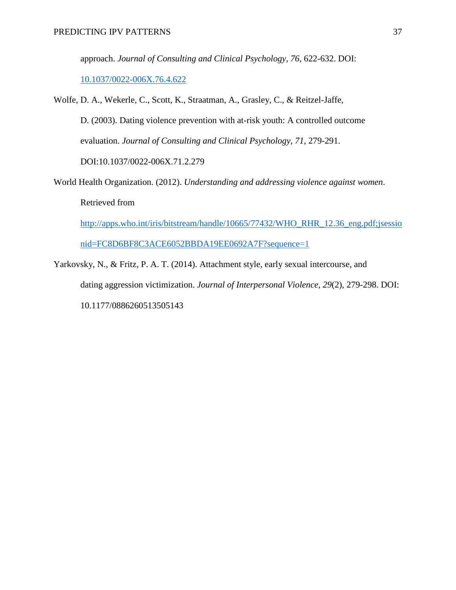approach. *Journal of Consulting and Clinical Psychology, 76*, 622-632. DOI:

[10.1037/0022-006X.76.4.622](http://psycnet.apa.org/doi/10.1037/0022-006X.76.4.622)

- Wolfe, D. A., Wekerle, C., Scott, K., Straatman, A., Grasley, C., & Reitzel-Jaffe, D. (2003). Dating violence prevention with at-risk youth: A controlled outcome evaluation. *Journal of Consulting and Clinical Psychology*, *71*, 279-291. DOI:10.1037/0022-006X.71.2.279
- World Health Organization. (2012). *Understanding and addressing violence against women*. Retrieved from [http://apps.who.int/iris/bitstream/handle/10665/77432/WHO\\_RHR\\_12.36\\_eng.pdf;jsessio](http://apps.who.int/iris/bitstream/handle/10665/77432/WHO_RHR_12.36_eng.pdf;jsessionid=FC8D6BF8C3ACE6052BBDA19EE0692A7F?sequence) [nid=FC8D6BF8C3ACE6052BBDA19EE0692A7F?sequence=](http://apps.who.int/iris/bitstream/handle/10665/77432/WHO_RHR_12.36_eng.pdf;jsessionid=FC8D6BF8C3ACE6052BBDA19EE0692A7F?sequence)1
- Yarkovsky, N., & Fritz, P. A. T. (2014). Attachment style, early sexual intercourse, and dating aggression victimization. *Journal of Interpersonal Violence*, *29*(2), 279-298. DOI: 10.1177/0886260513505143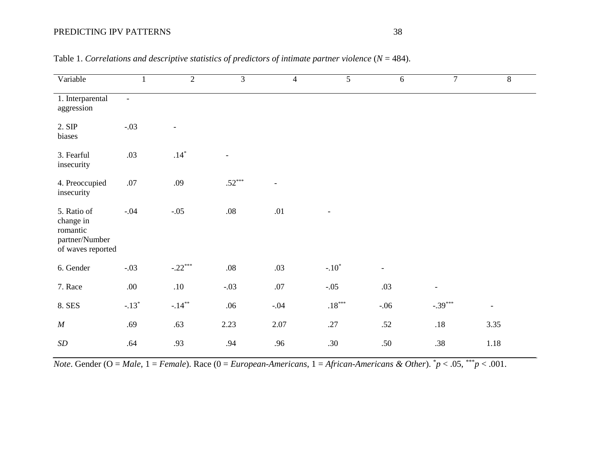| Variable                                                                    | $\mathbf{1}$             | $\overline{2}$ | $\overline{3}$ | $\overline{4}$           | $\overline{5}$       | 6              | $\overline{7}$           | $\overline{8}$ |
|-----------------------------------------------------------------------------|--------------------------|----------------|----------------|--------------------------|----------------------|----------------|--------------------------|----------------|
| 1. Interparental<br>aggression                                              | $\overline{\phantom{a}}$ |                |                |                          |                      |                |                          |                |
| 2. SIP<br>biases                                                            | $-.03$                   |                |                |                          |                      |                |                          |                |
| 3. Fearful<br>insecurity                                                    | .03                      | $.14*$         |                |                          |                      |                |                          |                |
| 4. Preoccupied<br>insecurity                                                | $.07\,$                  | .09            | $.52***$       | $\overline{\phantom{a}}$ |                      |                |                          |                |
| 5. Ratio of<br>change in<br>romantic<br>partner/Number<br>of waves reported | $-.04$                   | $-.05$         | $.08\,$        | $.01\,$                  |                      |                |                          |                |
| 6. Gender                                                                   | $-.03$                   | $-.22***$      | $.08\,$        | .03                      | $-.10*$              | $\overline{a}$ |                          |                |
| 7. Race                                                                     | .00.                     | $.10\,$        | $-.03$         | $.07\,$                  | $-.05$               | .03            | $\overline{\phantom{a}}$ |                |
| 8. SES                                                                      | $-.13*$                  | $-.14***$      | .06            | $-.04$                   | $.18^{\ast\ast\ast}$ | $-.06$         | $-.39***$                | $\overline{a}$ |
| M                                                                           | .69                      | .63            | 2.23           | 2.07                     | .27                  | .52            | $.18\,$                  | 3.35           |
| SD                                                                          | .64                      | .93            | .94            | .96                      | .30                  | .50            | .38                      | 1.18           |

Table 1. *Correlations and descriptive statistics of predictors of intimate partner violence* (*N* = 484).

*Note*. Gender (O = *Male*, 1 = *Female*). Race (0 = *European-Americans*, 1 = *African-Americans & Other*). \* *p* < .05, \*\*\**p* < .001.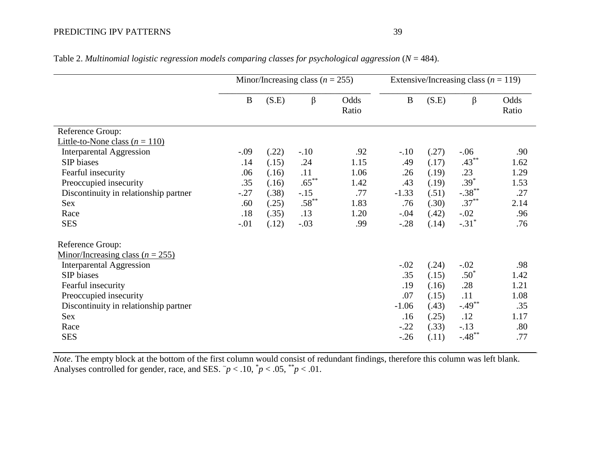|                                                      | Minor/Increasing class ( $n = 255$ ) |       |          | Extensive/Increasing class $(n = 119)$ |          |       |           |               |
|------------------------------------------------------|--------------------------------------|-------|----------|----------------------------------------|----------|-------|-----------|---------------|
|                                                      | B                                    | (S.E) | $\beta$  | Odds<br>Ratio                          | $\bf{B}$ | (S.E) | $\beta$   | Odds<br>Ratio |
| Reference Group:                                     |                                      |       |          |                                        |          |       |           |               |
| Little-to-None class $(n = 110)$                     |                                      |       |          |                                        |          |       |           |               |
| <b>Interparental Aggression</b>                      | $-.09$                               | (.22) | $-.10$   | .92                                    | $-.10$   | (.27) | $-.06$    | .90           |
| SIP biases                                           | .14                                  | (.15) | .24      | 1.15                                   | .49      | (.17) | $.43***$  | 1.62          |
| Fearful insecurity                                   | .06                                  | (.16) | .11      | 1.06                                   | .26      | (.19) | .23       | 1.29          |
| Preoccupied insecurity                               | .35                                  | (.16) | $.65***$ | 1.42                                   | .43      | (.19) | $.39*$    | 1.53          |
| Discontinuity in relationship partner                | $-.27$                               | (.38) | $-.15$   | .77                                    | $-1.33$  | (.51) | $-.38***$ | .27           |
| Sex                                                  | .60                                  | (.25) | $.58***$ | 1.83                                   | .76      | (.30) | $.37***$  | 2.14          |
| Race                                                 | .18                                  | (.35) | .13      | 1.20                                   | $-.04$   | (.42) | $-.02$    | .96           |
| <b>SES</b>                                           | $-.01$                               | (.12) | $-.03$   | .99                                    | $-.28$   | (.14) | $-.31*$   | .76           |
| Reference Group:                                     |                                      |       |          |                                        |          |       |           |               |
| <u>Minor/Increasing class (<math>n = 255</math>)</u> |                                      |       |          |                                        |          |       |           |               |
| <b>Interparental Aggression</b>                      |                                      |       |          |                                        | $-.02$   | (.24) | $-.02$    | .98           |
| SIP biases                                           |                                      |       |          |                                        | .35      | (.15) | $.50*$    | 1.42          |
| Fearful insecurity                                   |                                      |       |          |                                        | .19      | (.16) | .28       | 1.21          |
| Preoccupied insecurity                               |                                      |       |          |                                        | .07      | (.15) | .11       | 1.08          |
| Discontinuity in relationship partner                |                                      |       |          |                                        | $-1.06$  | (.43) | $-.49***$ | .35           |
| Sex                                                  |                                      |       |          |                                        | .16      | (.25) | .12       | 1.17          |
| Race                                                 |                                      |       |          |                                        | $-.22$   | (.33) | $-.13$    | .80           |
| <b>SES</b>                                           |                                      |       |          |                                        | $-0.26$  | (.11) | $-.48***$ | .77           |

Table 2. *Multinomial logistic regression models comparing classes for psychological aggression* (*N* = 484).

*Note*. The empty block at the bottom of the first column would consist of redundant findings, therefore this column was left blank. Analyses controlled for gender, race, and SES.  $\tilde{p}$  < .10,  $\tilde{p}$  < .05,  $\tilde{p}$  < .01.